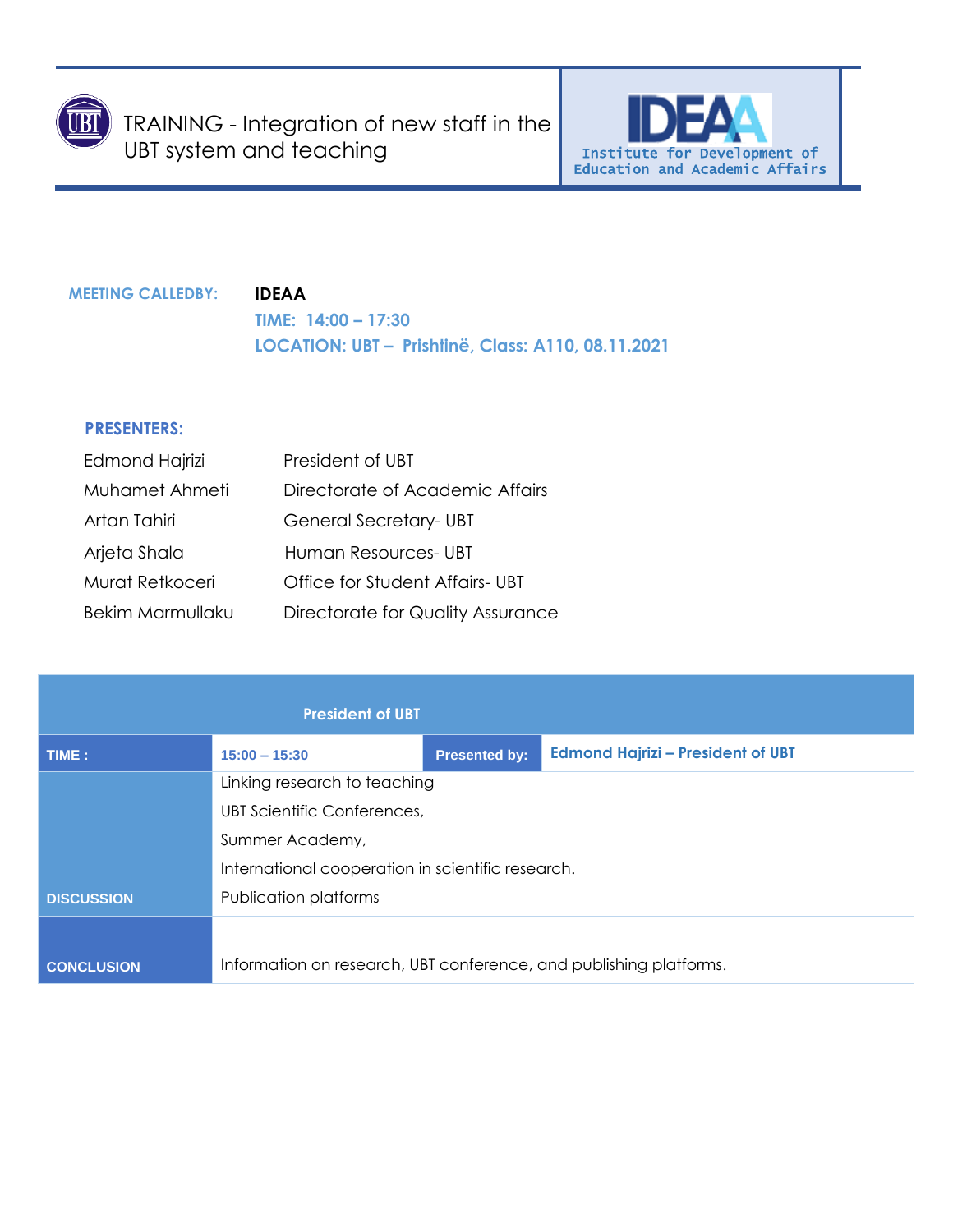



| <b>MEETING CALLEDBY:</b> | <b>IDEAA</b>                                       |  |  |
|--------------------------|----------------------------------------------------|--|--|
|                          | TIME: 14:00 - 17:30                                |  |  |
|                          | LOCATION: UBT - Prishtinë, Class: A110, 08.11.2021 |  |  |

## **PRESENTERS:**

| Edmond Hajrizi   | President of UBT                  |
|------------------|-----------------------------------|
| Muhamet Ahmeti   | Directorate of Academic Affairs   |
| Artan Tahiri     | <b>General Secretary-UBT</b>      |
| Arjeta Shala     | Human Resources- UBT              |
| Murat Retkoceri  | Office for Student Affairs-UBT    |
| Bekim Marmullaku | Directorate for Quality Assurance |

|                   | <b>President of UBT</b>                                            |                      |                                          |  |
|-------------------|--------------------------------------------------------------------|----------------------|------------------------------------------|--|
| TIME:             | $15:00 - 15:30$                                                    | <b>Presented by:</b> | <b>Edmond Hajrizi - President of UBT</b> |  |
|                   | Linking research to teaching                                       |                      |                                          |  |
|                   | UBT Scientific Conferences,                                        |                      |                                          |  |
|                   | Summer Academy,                                                    |                      |                                          |  |
|                   | International cooperation in scientific research.                  |                      |                                          |  |
| <b>DISCUSSION</b> | Publication platforms                                              |                      |                                          |  |
|                   |                                                                    |                      |                                          |  |
| <b>CONCLUSION</b> | Information on research, UBT conference, and publishing platforms. |                      |                                          |  |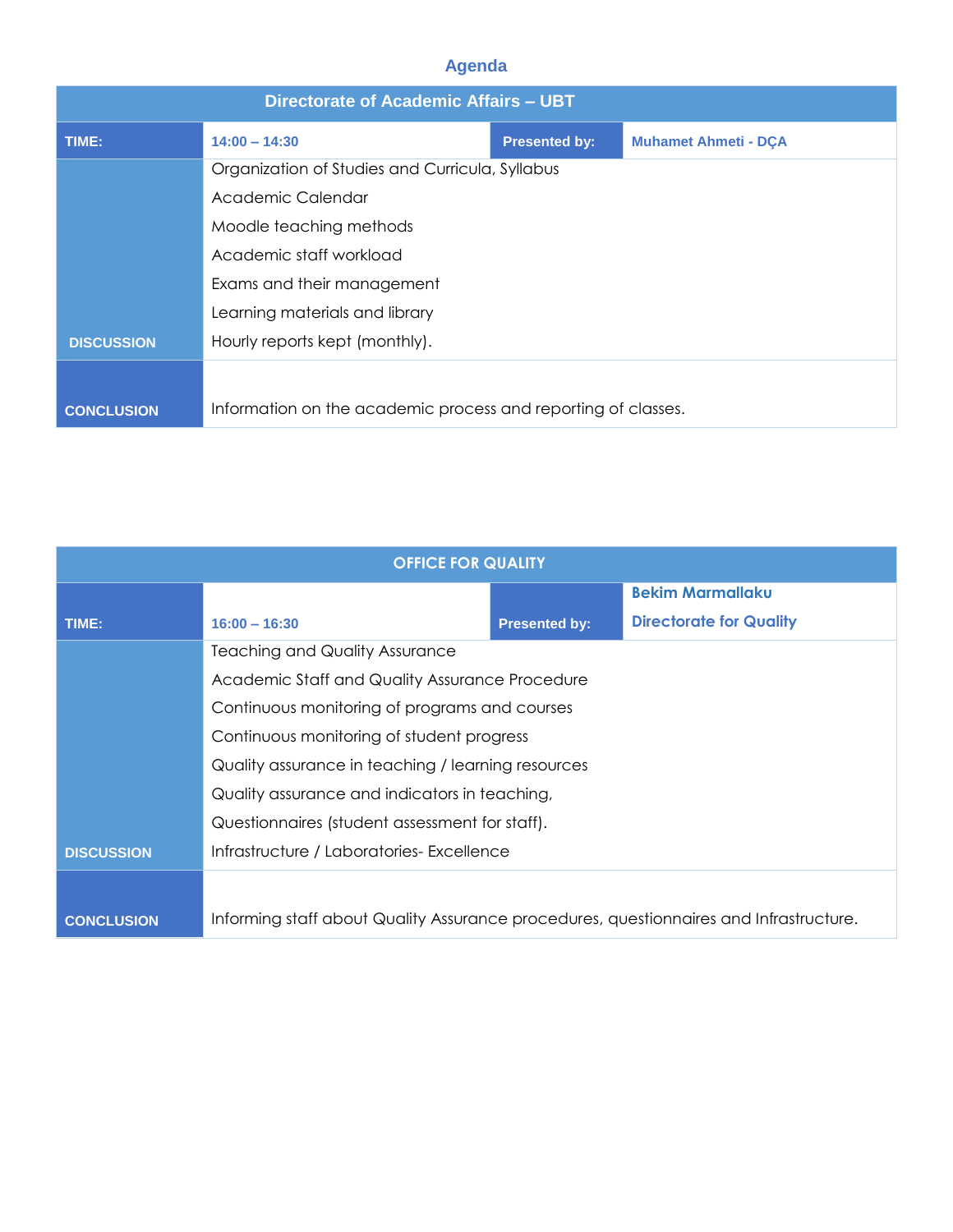## **Agenda**

| <b>Directorate of Academic Affairs - UBT</b> |                                                               |                      |                             |
|----------------------------------------------|---------------------------------------------------------------|----------------------|-----------------------------|
| TIME:                                        | $14:00 - 14:30$                                               | <b>Presented by:</b> | <b>Muhamet Ahmeti - DCA</b> |
|                                              | Organization of Studies and Curricula, Syllabus               |                      |                             |
|                                              | Academic Calendar                                             |                      |                             |
|                                              | Moodle teaching methods                                       |                      |                             |
|                                              | Academic staff workload                                       |                      |                             |
|                                              | Exams and their management                                    |                      |                             |
|                                              | Learning materials and library                                |                      |                             |
| <b>DISCUSSION</b>                            | Hourly reports kept (monthly).                                |                      |                             |
|                                              |                                                               |                      |                             |
| <b>CONCLUSION</b>                            | Information on the academic process and reporting of classes. |                      |                             |

| <b>OFFICE FOR QUALITY</b> |                                                                                        |                      |                                |
|---------------------------|----------------------------------------------------------------------------------------|----------------------|--------------------------------|
|                           |                                                                                        |                      | <b>Bekim Marmallaku</b>        |
| TIME:                     | $16:00 - 16:30$                                                                        | <b>Presented by:</b> | <b>Directorate for Quality</b> |
|                           | <b>Teaching and Quality Assurance</b>                                                  |                      |                                |
|                           | Academic Staff and Quality Assurance Procedure                                         |                      |                                |
|                           | Continuous monitoring of programs and courses                                          |                      |                                |
|                           | Continuous monitoring of student progress                                              |                      |                                |
|                           | Quality assurance in teaching / learning resources                                     |                      |                                |
|                           | Quality assurance and indicators in teaching,                                          |                      |                                |
|                           | Questionnaires (student assessment for staff).                                         |                      |                                |
| <b>DISCUSSION</b>         | Infrastructure / Laboratories- Excellence                                              |                      |                                |
|                           |                                                                                        |                      |                                |
| <b>CONCLUSION</b>         | Informing staff about Quality Assurance procedures, questionnaires and Infrastructure. |                      |                                |